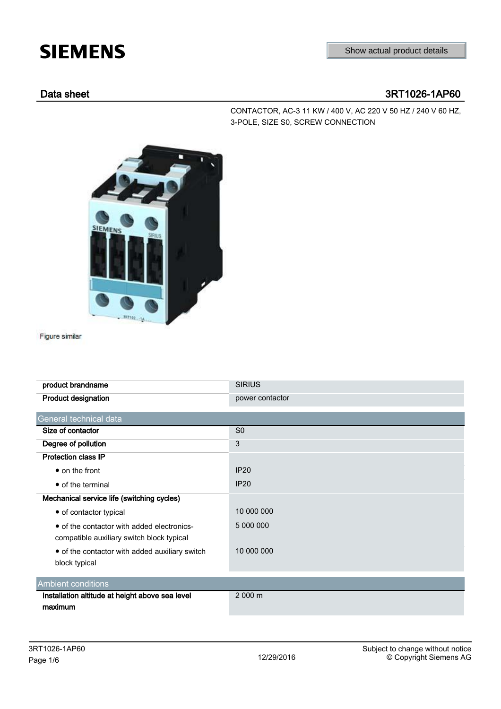# **SIEMENS**

## Data sheet 3RT1026-1AP60

CONTACTOR, AC-3 11 KW / 400 V, AC 220 V 50 HZ / 240 V 60 HZ, 3-POLE, SIZE S0, SCREW CONNECTION



Figure similar

| product brandname                                                                       | <b>SIRIUS</b>   |
|-----------------------------------------------------------------------------------------|-----------------|
| <b>Product designation</b>                                                              | power contactor |
| General technical data                                                                  |                 |
| Size of contactor                                                                       | S <sub>0</sub>  |
| Degree of pollution                                                                     | 3               |
| <b>Protection class IP</b>                                                              |                 |
| $\bullet$ on the front                                                                  | IP20            |
| • of the terminal                                                                       | <b>IP20</b>     |
| Mechanical service life (switching cycles)                                              |                 |
| • of contactor typical                                                                  | 10 000 000      |
| • of the contactor with added electronics-<br>compatible auxiliary switch block typical | 5 000 000       |
| • of the contactor with added auxiliary switch<br>block typical                         | 10 000 000      |
| <b>Ambient conditions</b>                                                               |                 |
| Installation altitude at height above sea level<br>maximum                              | 2000 m          |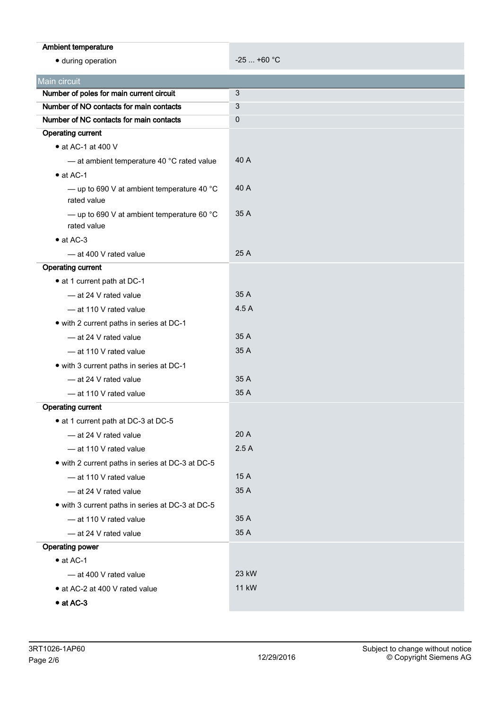| Ambient temperature                                                 |              |
|---------------------------------------------------------------------|--------------|
| · during operation                                                  | $-25$ +60 °C |
|                                                                     |              |
| Main circuit                                                        |              |
| Number of poles for main current circuit                            | 3            |
| Number of NO contacts for main contacts                             | 3            |
| Number of NC contacts for main contacts                             | 0            |
| <b>Operating current</b>                                            |              |
| $\bullet$ at AC-1 at 400 V                                          |              |
| - at ambient temperature 40 °C rated value                          | 40 A         |
| $\bullet$ at AC-1                                                   |              |
| - up to 690 V at ambient temperature 40 $^{\circ}$ C<br>rated value | 40 A         |
| - up to 690 V at ambient temperature 60 $^{\circ}$ C<br>rated value | 35 A         |
| $\bullet$ at AC-3                                                   |              |
| - at 400 V rated value                                              | 25 A         |
| <b>Operating current</b>                                            |              |
| • at 1 current path at DC-1                                         |              |
| - at 24 V rated value                                               | 35 A         |
| - at 110 V rated value                                              | 4.5 A        |
| • with 2 current paths in series at DC-1                            |              |
| - at 24 V rated value                                               | 35 A         |
| - at 110 V rated value                                              | 35 A         |
| • with 3 current paths in series at DC-1                            |              |
| - at 24 V rated value                                               | 35 A         |
| - at 110 V rated value                                              | 35 A         |
| <b>Operating current</b>                                            |              |
| • at 1 current path at DC-3 at DC-5                                 |              |
| - at 24 V rated value                                               | 20 A         |
| - at 110 V rated value                                              | 2.5A         |
| • with 2 current paths in series at DC-3 at DC-5                    |              |
| - at 110 V rated value                                              | 15 A         |
| - at 24 V rated value                                               | 35 A         |
| • with 3 current paths in series at DC-3 at DC-5                    |              |
| - at 110 V rated value                                              | 35 A         |
| - at 24 V rated value                                               | 35 A         |
| <b>Operating power</b>                                              |              |
| $\bullet$ at AC-1                                                   |              |
| - at 400 V rated value                                              | 23 kW        |
| • at AC-2 at 400 V rated value                                      | <b>11 kW</b> |
| $\bullet$ at AC-3                                                   |              |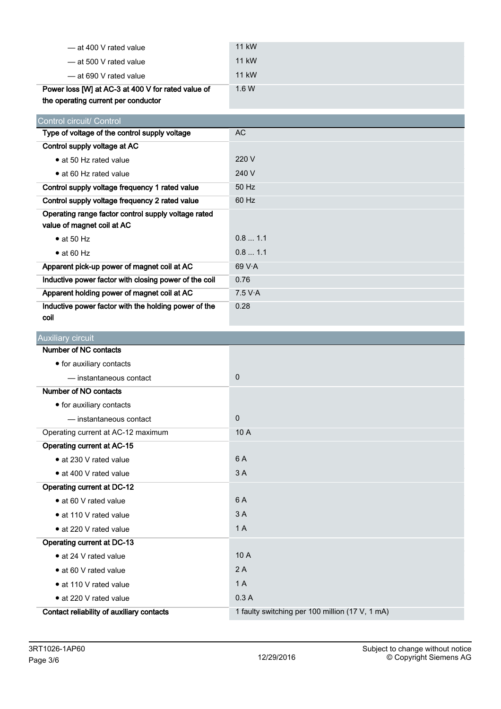| — at 400 V rated value                              | 11 kW     |
|-----------------------------------------------------|-----------|
| — at 500 V rated value                              | 11 kW     |
| — at 690 V rated value                              | 11 kW     |
| Power loss [W] at AC-3 at 400 V for rated value of  | 1.6W      |
| the operating current per conductor                 |           |
|                                                     |           |
| Control circuit/ Control                            |           |
| Type of voltage of the control supply voltage       | <b>AC</b> |
| Control supply voltage at AC                        |           |
| • at 50 Hz rated value                              | 220 V     |
| • at 60 Hz rated value                              | 240 V     |
| Control supply voltage frequency 1 rated value      | 50 Hz     |
| Control supply voltage frequency 2 rated value      | 60 Hz     |
| Operating range factor control supply voltage rated |           |
| value of magnet coil at AC                          |           |

| Control supply voltage frequency 2 rated value                                    | 60 Hz   |
|-----------------------------------------------------------------------------------|---------|
| Operating range factor control supply voltage rated<br>value of magnet coil at AC |         |
| $\bullet$ at 50 Hz                                                                | 0.81.1  |
| $\bullet$ at 60 Hz                                                                | 0.81.1  |
| Apparent pick-up power of magnet coil at AC                                       | 69V·A   |
| Inductive power factor with closing power of the coil                             | 0.76    |
| Apparent holding power of magnet coil at AC                                       | 7.5 V·A |
| Inductive power factor with the holding power of the<br>coil                      | 0.28    |

| <b>Auxiliary circuit</b>                  |                                                 |  |  |
|-------------------------------------------|-------------------------------------------------|--|--|
| Number of NC contacts                     |                                                 |  |  |
| • for auxiliary contacts                  |                                                 |  |  |
| - instantaneous contact                   | $\mathbf{0}$                                    |  |  |
| Number of NO contacts                     |                                                 |  |  |
| • for auxiliary contacts                  |                                                 |  |  |
| - instantaneous contact                   | $\mathbf{0}$                                    |  |  |
| Operating current at AC-12 maximum        | 10A                                             |  |  |
| <b>Operating current at AC-15</b>         |                                                 |  |  |
| • at 230 V rated value                    | 6 A                                             |  |  |
| • at 400 V rated value                    | 3A                                              |  |  |
| <b>Operating current at DC-12</b>         |                                                 |  |  |
| • at 60 V rated value                     | 6 A                                             |  |  |
| • at 110 V rated value                    | 3A                                              |  |  |
| • at 220 V rated value                    | 1A                                              |  |  |
| Operating current at DC-13                |                                                 |  |  |
| • at 24 V rated value                     | 10A                                             |  |  |
| • at 60 V rated value                     | 2A                                              |  |  |
| • at 110 V rated value                    | 1A                                              |  |  |
| • at 220 V rated value                    | 0.3A                                            |  |  |
| Contact reliability of auxiliary contacts | 1 faulty switching per 100 million (17 V, 1 mA) |  |  |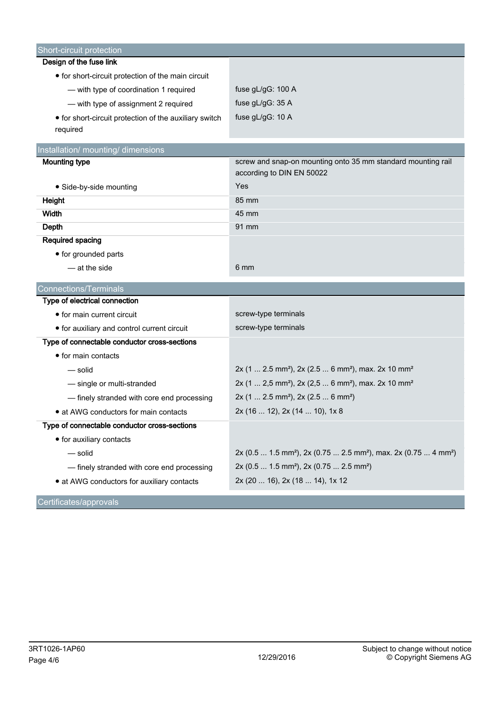| Short-circuit protection                               |                                                                                                     |
|--------------------------------------------------------|-----------------------------------------------------------------------------------------------------|
| Design of the fuse link                                |                                                                                                     |
| • for short-circuit protection of the main circuit     |                                                                                                     |
| - with type of coordination 1 required                 | fuse gL/gG: 100 A                                                                                   |
| - with type of assignment 2 required                   | fuse gL/gG: 35 A                                                                                    |
| • for short-circuit protection of the auxiliary switch | fuse gL/gG: 10 A                                                                                    |
| required                                               |                                                                                                     |
| Installation/ mounting/ dimensions                     |                                                                                                     |
| <b>Mounting type</b>                                   | screw and snap-on mounting onto 35 mm standard mounting rail                                        |
|                                                        | according to DIN EN 50022                                                                           |
| • Side-by-side mounting                                | Yes                                                                                                 |
| Height                                                 | 85 mm                                                                                               |
| Width                                                  | 45 mm                                                                                               |
| Depth                                                  | 91 mm                                                                                               |
| Required spacing                                       |                                                                                                     |
| • for grounded parts                                   |                                                                                                     |
| - at the side                                          | 6 mm                                                                                                |
| Connections/Terminals                                  |                                                                                                     |
| Type of electrical connection                          |                                                                                                     |
| • for main current circuit                             | screw-type terminals                                                                                |
| • for auxiliary and control current circuit            | screw-type terminals                                                                                |
| Type of connectable conductor cross-sections           |                                                                                                     |
| • for main contacts                                    |                                                                                                     |
| — solid                                                | 2x (1  2.5 mm <sup>2</sup> ), 2x (2.5  6 mm <sup>2</sup> ), max. 2x 10 mm <sup>2</sup>              |
| - single or multi-stranded                             | 2x (1  2,5 mm <sup>2</sup> ), 2x (2,5  6 mm <sup>2</sup> ), max. 2x 10 mm <sup>2</sup>              |
| - finely stranded with core end processing             | $2x$ (1  2.5 mm <sup>2</sup> ), $2x$ (2.5  6 mm <sup>2</sup> )                                      |
| • at AWG conductors for main contacts                  | 2x (16  12), 2x (14  10), 1x 8                                                                      |
| Type of connectable conductor cross-sections           |                                                                                                     |
| • for auxiliary contacts                               |                                                                                                     |
| — solid                                                | 2x (0.5  1.5 mm <sup>2</sup> ), 2x (0.75  2.5 mm <sup>2</sup> ), max. 2x (0.75  4 mm <sup>2</sup> ) |
| - finely stranded with core end processing             | 2x (0.5  1.5 mm <sup>2</sup> ), 2x (0.75  2.5 mm <sup>2</sup> )                                     |
| • at AWG conductors for auxiliary contacts             | 2x (20  16), 2x (18  14), 1x 12                                                                     |
| Certificates/approvals                                 |                                                                                                     |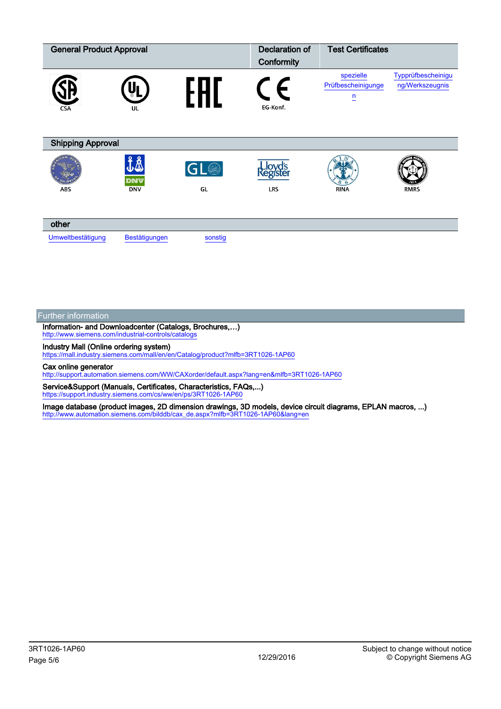| <b>General Product Approval</b> |                                | Declaration of<br>Conformity | <b>Test Certificates</b> |                                      |                                       |
|---------------------------------|--------------------------------|------------------------------|--------------------------|--------------------------------------|---------------------------------------|
| <b>CSA</b>                      | UL                             |                              | F<br>EG-Konf.            | spezielle<br>Prüfbescheinigunge<br>n | Typprüfbescheinigu<br>ng/Werkszeugnis |
| <b>Shipping Approval</b>        |                                |                              |                          |                                      |                                       |
| ABS                             | ĴÅ<br><b>DNV</b><br><b>DNV</b> | GL <sup>O</sup><br>GL        | egistei<br><b>LRS</b>    | <b>RINA</b>                          | <b>RMRS</b>                           |
| other                           |                                |                              |                          |                                      |                                       |
| Umweltbestätigung               | Bestätigungen                  | sonstig                      |                          |                                      |                                       |

### Further information

Information- and Downloadcenter (Catalogs, Brochures,…) <http://www.siemens.com/industrial-controls/catalogs>

Industry Mall (Online ordering system)

<https://mall.industry.siemens.com/mall/en/en/Catalog/product?mlfb=3RT1026-1AP60>

Cax online generator

<http://support.automation.siemens.com/WW/CAXorder/default.aspx?lang=en&mlfb=3RT1026-1AP60>

Service&Support (Manuals, Certificates, Characteristics, FAQs,...) <https://support.industry.siemens.com/cs/ww/en/ps/3RT1026-1AP60>

Image database (product images, 2D dimension drawings, 3D models, device circuit diagrams, EPLAN macros, ...) [http://www.automation.siemens.com/bilddb/cax\\_de.aspx?mlfb=3RT1026-1AP60&lang=en](http://www.automation.siemens.com/bilddb/cax_de.aspx?mlfb=3RT1026-1AP60&lang=en)